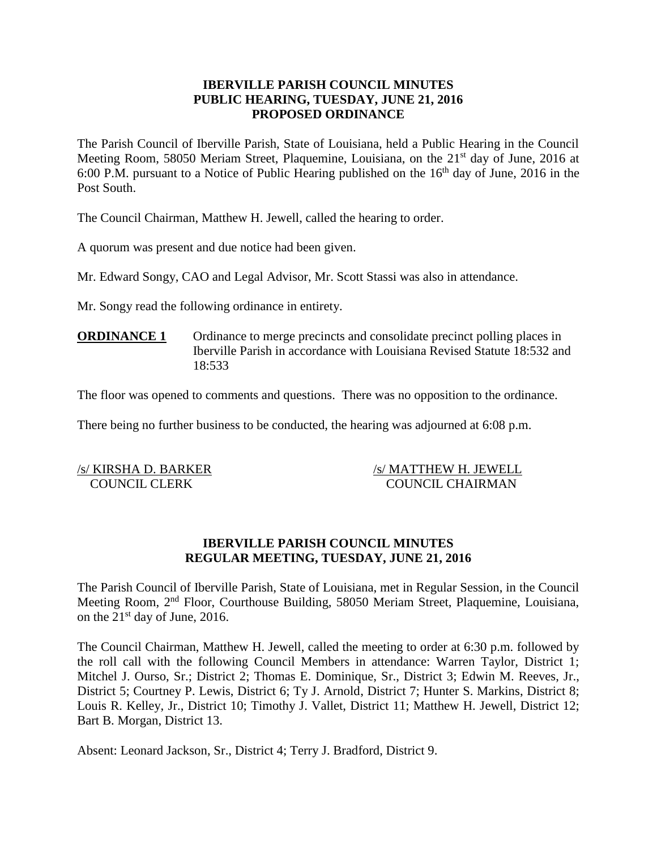# **IBERVILLE PARISH COUNCIL MINUTES PUBLIC HEARING, TUESDAY, JUNE 21, 2016 PROPOSED ORDINANCE**

The Parish Council of Iberville Parish, State of Louisiana, held a Public Hearing in the Council Meeting Room, 58050 Meriam Street, Plaquemine, Louisiana, on the 21<sup>st</sup> day of June, 2016 at 6:00 P.M. pursuant to a Notice of Public Hearing published on the  $16<sup>th</sup>$  day of June, 2016 in the Post South.

The Council Chairman, Matthew H. Jewell, called the hearing to order.

A quorum was present and due notice had been given.

Mr. Edward Songy, CAO and Legal Advisor, Mr. Scott Stassi was also in attendance.

Mr. Songy read the following ordinance in entirety.

**ORDINANCE 1** Ordinance to merge precincts and consolidate precinct polling places in Iberville Parish in accordance with Louisiana Revised Statute 18:532 and 18:533

The floor was opened to comments and questions. There was no opposition to the ordinance.

There being no further business to be conducted, the hearing was adjourned at 6:08 p.m.

/s/ KIRSHA D. BARKER /s/ MATTHEW H. JEWELL COUNCIL CLERK COUNCIL CHAIRMAN

# **IBERVILLE PARISH COUNCIL MINUTES REGULAR MEETING, TUESDAY, JUNE 21, 2016**

The Parish Council of Iberville Parish, State of Louisiana, met in Regular Session, in the Council Meeting Room, 2nd Floor, Courthouse Building, 58050 Meriam Street, Plaquemine, Louisiana, on the  $21<sup>st</sup>$  day of June, 2016.

The Council Chairman, Matthew H. Jewell, called the meeting to order at 6:30 p.m. followed by the roll call with the following Council Members in attendance: Warren Taylor, District 1; Mitchel J. Ourso, Sr.; District 2; Thomas E. Dominique, Sr., District 3; Edwin M. Reeves, Jr., District 5; Courtney P. Lewis, District 6; Ty J. Arnold, District 7; Hunter S. Markins, District 8; Louis R. Kelley, Jr., District 10; Timothy J. Vallet, District 11; Matthew H. Jewell, District 12; Bart B. Morgan, District 13.

Absent: Leonard Jackson, Sr., District 4; Terry J. Bradford, District 9.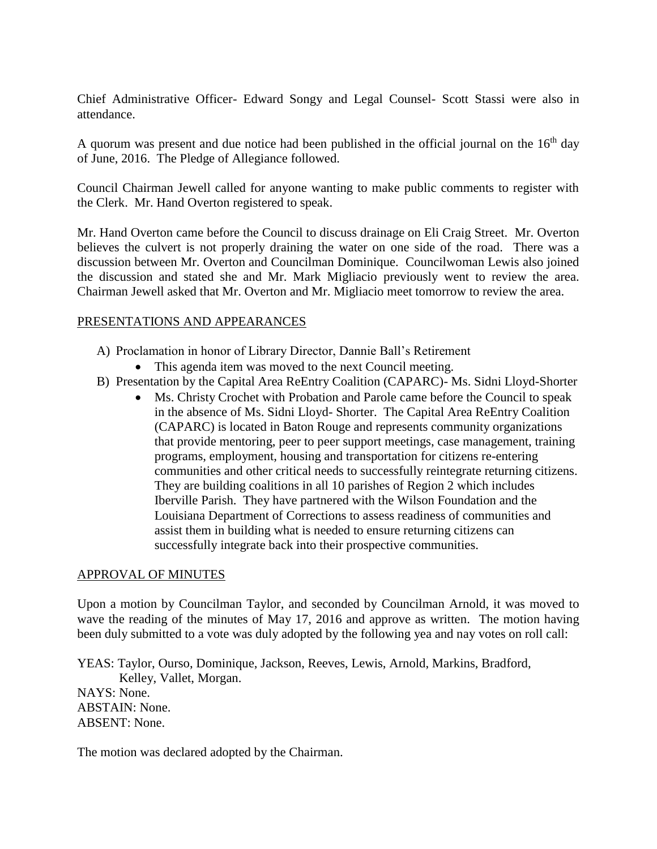Chief Administrative Officer- Edward Songy and Legal Counsel- Scott Stassi were also in attendance.

A quorum was present and due notice had been published in the official journal on the  $16<sup>th</sup>$  day of June, 2016. The Pledge of Allegiance followed.

Council Chairman Jewell called for anyone wanting to make public comments to register with the Clerk. Mr. Hand Overton registered to speak.

Mr. Hand Overton came before the Council to discuss drainage on Eli Craig Street. Mr. Overton believes the culvert is not properly draining the water on one side of the road. There was a discussion between Mr. Overton and Councilman Dominique. Councilwoman Lewis also joined the discussion and stated she and Mr. Mark Migliacio previously went to review the area. Chairman Jewell asked that Mr. Overton and Mr. Migliacio meet tomorrow to review the area.

# PRESENTATIONS AND APPEARANCES

- A) Proclamation in honor of Library Director, Dannie Ball's Retirement
	- This agenda item was moved to the next Council meeting.
- B) Presentation by the Capital Area ReEntry Coalition (CAPARC)- Ms. Sidni Lloyd-Shorter
	- Ms. Christy Crochet with Probation and Parole came before the Council to speak in the absence of Ms. Sidni Lloyd- Shorter. The Capital Area ReEntry Coalition (CAPARC) is located in Baton Rouge and represents community organizations that provide mentoring, peer to peer support meetings, case management, training programs, employment, housing and transportation for citizens re-entering communities and other critical needs to successfully reintegrate returning citizens. They are building coalitions in all 10 parishes of Region 2 which includes Iberville Parish. They have partnered with the Wilson Foundation and the Louisiana Department of Corrections to assess readiness of communities and assist them in building what is needed to ensure returning citizens can successfully integrate back into their prospective communities.

#### APPROVAL OF MINUTES

Upon a motion by Councilman Taylor, and seconded by Councilman Arnold, it was moved to wave the reading of the minutes of May 17, 2016 and approve as written. The motion having been duly submitted to a vote was duly adopted by the following yea and nay votes on roll call:

YEAS: Taylor, Ourso, Dominique, Jackson, Reeves, Lewis, Arnold, Markins, Bradford, Kelley, Vallet, Morgan.

NAYS: None. ABSTAIN: None. ABSENT: None.

The motion was declared adopted by the Chairman.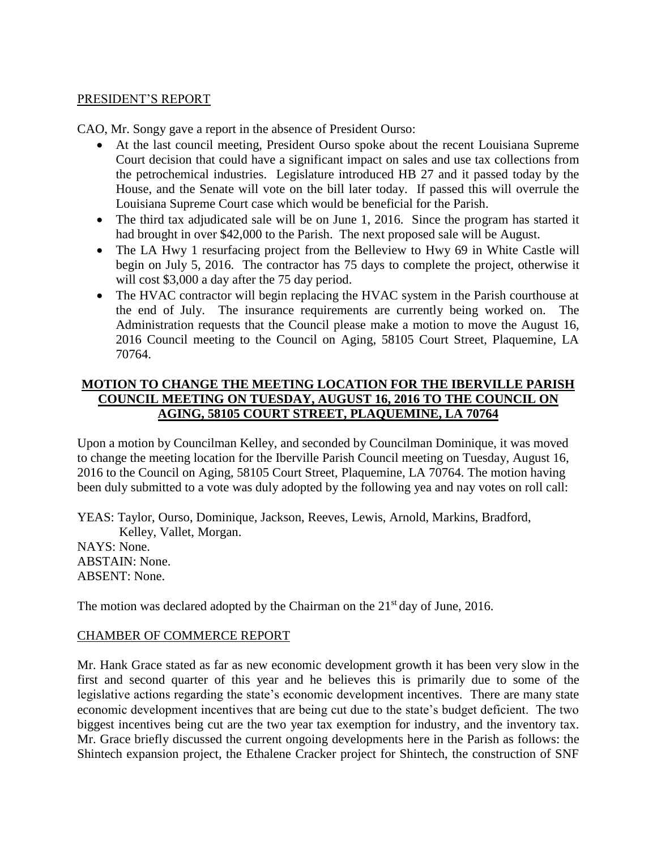#### PRESIDENT'S REPORT

CAO, Mr. Songy gave a report in the absence of President Ourso:

- At the last council meeting, President Ourso spoke about the recent Louisiana Supreme Court decision that could have a significant impact on sales and use tax collections from the petrochemical industries. Legislature introduced HB 27 and it passed today by the House, and the Senate will vote on the bill later today. If passed this will overrule the Louisiana Supreme Court case which would be beneficial for the Parish.
- The third tax adjudicated sale will be on June 1, 2016. Since the program has started it had brought in over \$42,000 to the Parish. The next proposed sale will be August.
- The LA Hwy 1 resurfacing project from the Belleview to Hwy 69 in White Castle will begin on July 5, 2016. The contractor has 75 days to complete the project, otherwise it will cost \$3,000 a day after the 75 day period.
- The HVAC contractor will begin replacing the HVAC system in the Parish courthouse at the end of July. The insurance requirements are currently being worked on. The Administration requests that the Council please make a motion to move the August 16, 2016 Council meeting to the Council on Aging, 58105 Court Street, Plaquemine, LA 70764.

# **MOTION TO CHANGE THE MEETING LOCATION FOR THE IBERVILLE PARISH COUNCIL MEETING ON TUESDAY, AUGUST 16, 2016 TO THE COUNCIL ON AGING, 58105 COURT STREET, PLAQUEMINE, LA 70764**

Upon a motion by Councilman Kelley, and seconded by Councilman Dominique, it was moved to change the meeting location for the Iberville Parish Council meeting on Tuesday, August 16, 2016 to the Council on Aging, 58105 Court Street, Plaquemine, LA 70764. The motion having been duly submitted to a vote was duly adopted by the following yea and nay votes on roll call:

YEAS: Taylor, Ourso, Dominique, Jackson, Reeves, Lewis, Arnold, Markins, Bradford, Kelley, Vallet, Morgan.

NAYS: None. ABSTAIN: None. ABSENT: None.

The motion was declared adopted by the Chairman on the  $21<sup>st</sup>$  day of June, 2016.

#### CHAMBER OF COMMERCE REPORT

Mr. Hank Grace stated as far as new economic development growth it has been very slow in the first and second quarter of this year and he believes this is primarily due to some of the legislative actions regarding the state's economic development incentives. There are many state economic development incentives that are being cut due to the state's budget deficient. The two biggest incentives being cut are the two year tax exemption for industry, and the inventory tax. Mr. Grace briefly discussed the current ongoing developments here in the Parish as follows: the Shintech expansion project, the Ethalene Cracker project for Shintech, the construction of SNF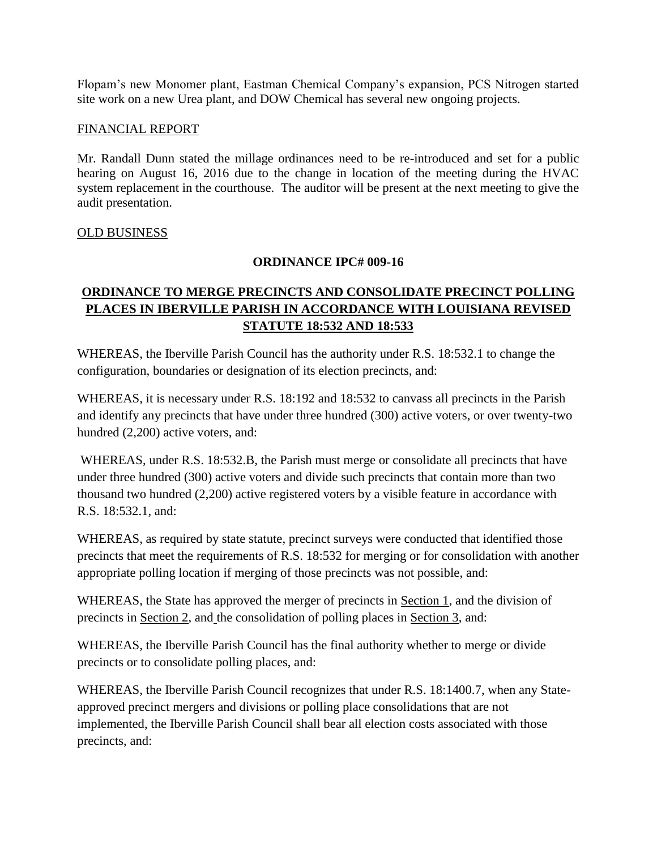Flopam's new Monomer plant, Eastman Chemical Company's expansion, PCS Nitrogen started site work on a new Urea plant, and DOW Chemical has several new ongoing projects.

### FINANCIAL REPORT

Mr. Randall Dunn stated the millage ordinances need to be re-introduced and set for a public hearing on August 16, 2016 due to the change in location of the meeting during the HVAC system replacement in the courthouse. The auditor will be present at the next meeting to give the audit presentation.

# OLD BUSINESS

# **ORDINANCE IPC# 009-16**

# **ORDINANCE TO MERGE PRECINCTS AND CONSOLIDATE PRECINCT POLLING PLACES IN IBERVILLE PARISH IN ACCORDANCE WITH LOUISIANA REVISED STATUTE 18:532 AND 18:533**

WHEREAS, the Iberville Parish Council has the authority under R.S. 18:532.1 to change the configuration, boundaries or designation of its election precincts, and:

WHEREAS, it is necessary under R.S. 18:192 and 18:532 to canvass all precincts in the Parish and identify any precincts that have under three hundred (300) active voters, or over twenty-two hundred (2,200) active voters, and:

WHEREAS, under R.S. 18:532.B, the Parish must merge or consolidate all precincts that have under three hundred (300) active voters and divide such precincts that contain more than two thousand two hundred (2,200) active registered voters by a visible feature in accordance with R.S. 18:532.1, and:

WHEREAS, as required by state statute, precinct surveys were conducted that identified those precincts that meet the requirements of R.S. 18:532 for merging or for consolidation with another appropriate polling location if merging of those precincts was not possible, and:

WHEREAS, the State has approved the merger of precincts in Section 1, and the division of precincts in Section 2, and the consolidation of polling places in Section 3, and:

WHEREAS, the Iberville Parish Council has the final authority whether to merge or divide precincts or to consolidate polling places, and:

WHEREAS, the Iberville Parish Council recognizes that under R.S. 18:1400.7, when any Stateapproved precinct mergers and divisions or polling place consolidations that are not implemented, the Iberville Parish Council shall bear all election costs associated with those precincts, and: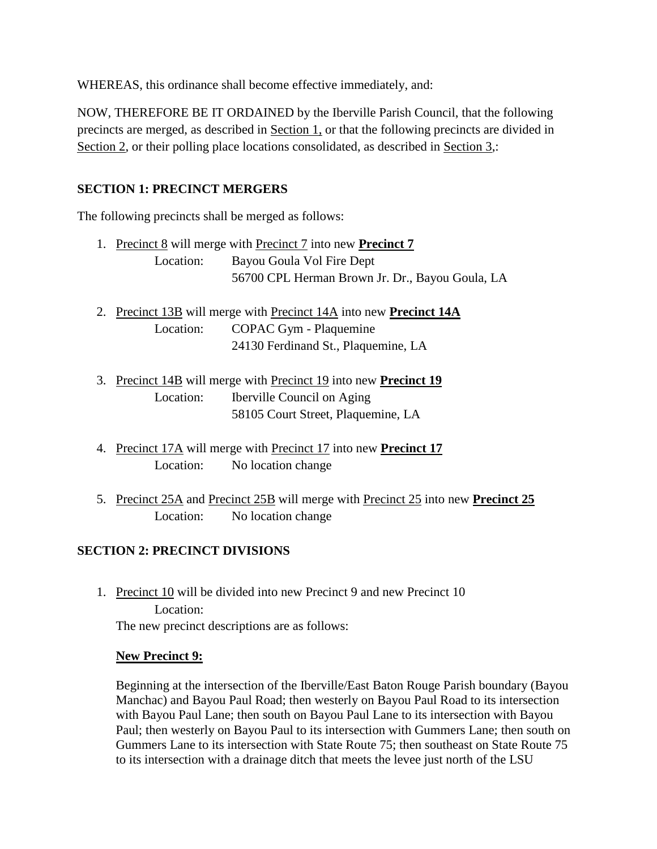WHEREAS, this ordinance shall become effective immediately, and:

NOW, THEREFORE BE IT ORDAINED by the Iberville Parish Council, that the following precincts are merged, as described in Section 1, or that the following precincts are divided in Section 2, or their polling place locations consolidated, as described in Section 3,:

# **SECTION 1: PRECINCT MERGERS**

The following precincts shall be merged as follows:

|           | 1. Precinct 8 will merge with Precinct 7 into new <b>Precinct 7</b> |
|-----------|---------------------------------------------------------------------|
| Location: | Bayou Goula Vol Fire Dept                                           |
|           | 56700 CPL Herman Brown Jr. Dr., Bayou Goula, LA                     |

- 2. Precinct 13B will merge with Precinct 14A into new **Precinct 14A** Location: COPAC Gym - Plaquemine 24130 Ferdinand St., Plaquemine, LA
- 3. Precinct 14B will merge with Precinct 19 into new **Precinct 19** Location: Iberville Council on Aging 58105 Court Street, Plaquemine, LA
- 4. Precinct 17A will merge with Precinct 17 into new **Precinct 17** Location: No location change
- 5. Precinct 25A and Precinct 25B will merge with Precinct 25 into new **Precinct 25** Location: No location change

# **SECTION 2: PRECINCT DIVISIONS**

1. Precinct 10 will be divided into new Precinct 9 and new Precinct 10 Location: The new precinct descriptions are as follows:

#### **New Precinct 9:**

Beginning at the intersection of the Iberville/East Baton Rouge Parish boundary (Bayou Manchac) and Bayou Paul Road; then westerly on Bayou Paul Road to its intersection with Bayou Paul Lane; then south on Bayou Paul Lane to its intersection with Bayou Paul; then westerly on Bayou Paul to its intersection with Gummers Lane; then south on Gummers Lane to its intersection with State Route 75; then southeast on State Route 75 to its intersection with a drainage ditch that meets the levee just north of the LSU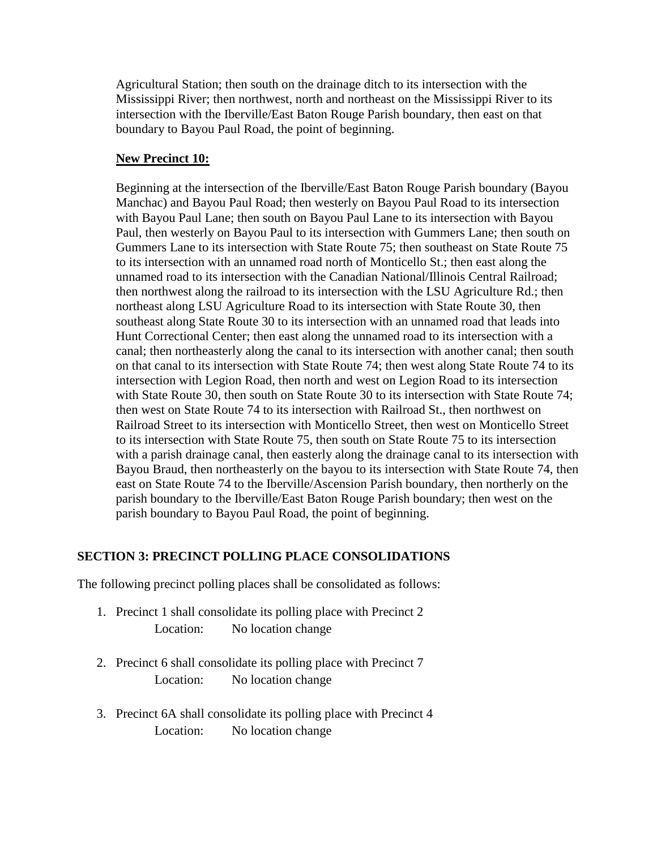Agricultural Station; then south on the drainage ditch to its intersection with the Mississippi River; then northwest, north and northeast on the Mississippi River to its intersection with the Iberville/East Baton Rouge Parish boundary, then east on that boundary to Bayou Paul Road, the point of beginning.

# **New Precinct 10:**

Beginning at the intersection of the Iberville/East Baton Rouge Parish boundary (Bayou Manchac) and Bayou Paul Road; then westerly on Bayou Paul Road to its intersection with Bayou Paul Lane; then south on Bayou Paul Lane to its intersection with Bayou Paul, then westerly on Bayou Paul to its intersection with Gummers Lane; then south on Gummers Lane to its intersection with State Route 75; then southeast on State Route 75 to its intersection with an unnamed road north of Monticello St.; then east along the unnamed road to its intersection with the Canadian National/Illinois Central Railroad; then northwest along the railroad to its intersection with the LSU Agriculture Rd.; then northeast along LSU Agriculture Road to its intersection with State Route 30, then southeast along State Route 30 to its intersection with an unnamed road that leads into Hunt Correctional Center; then east along the unnamed road to its intersection with a canal; then northeasterly along the canal to its intersection with another canal; then south on that canal to its intersection with State Route 74; then west along State Route 74 to its intersection with Legion Road, then north and west on Legion Road to its intersection with State Route 30, then south on State Route 30 to its intersection with State Route 74; then west on State Route 74 to its intersection with Railroad St., then northwest on Railroad Street to its intersection with Monticello Street, then west on Monticello Street to its intersection with State Route 75, then south on State Route 75 to its intersection with a parish drainage canal, then easterly along the drainage canal to its intersection with Bayou Braud, then northeasterly on the bayou to its intersection with State Route 74, then east on State Route 74 to the Iberville/Ascension Parish boundary, then northerly on the parish boundary to the Iberville/East Baton Rouge Parish boundary; then west on the parish boundary to Bayou Paul Road, the point of beginning.

#### **SECTION 3: PRECINCT POLLING PLACE CONSOLIDATIONS**

The following precinct polling places shall be consolidated as follows:

- 1. Precinct 1 shall consolidate its polling place with Precinct 2 Location: No location change
- 2. Precinct 6 shall consolidate its polling place with Precinct 7 Location: No location change
- 3. Precinct 6A shall consolidate its polling place with Precinct 4 Location: No location change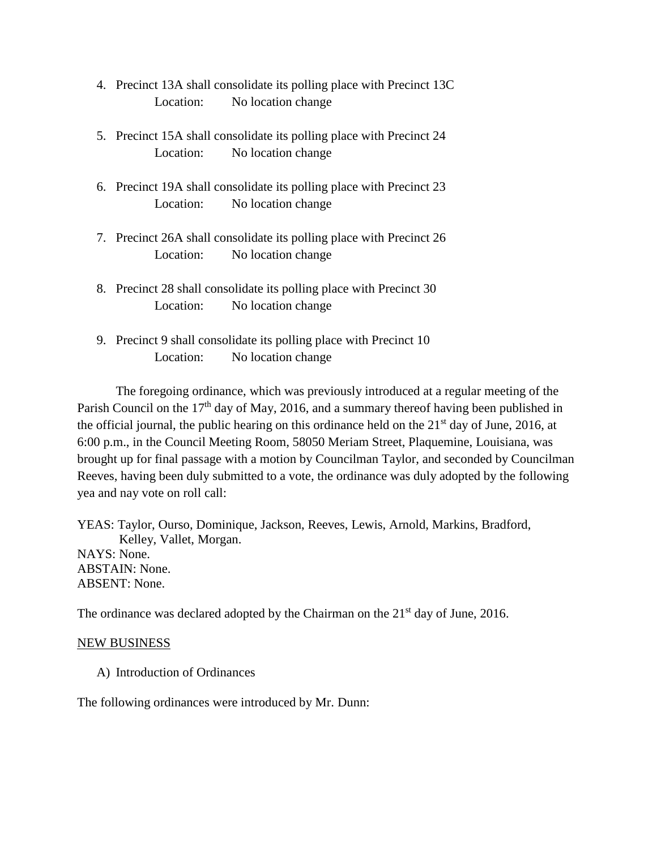- 4. Precinct 13A shall consolidate its polling place with Precinct 13C Location: No location change
- 5. Precinct 15A shall consolidate its polling place with Precinct 24 Location: No location change
- 6. Precinct 19A shall consolidate its polling place with Precinct 23 Location: No location change
- 7. Precinct 26A shall consolidate its polling place with Precinct 26 Location: No location change
- 8. Precinct 28 shall consolidate its polling place with Precinct 30 Location: No location change
- 9. Precinct 9 shall consolidate its polling place with Precinct 10 Location: No location change

The foregoing ordinance, which was previously introduced at a regular meeting of the Parish Council on the  $17<sup>th</sup>$  day of May, 2016, and a summary thereof having been published in the official journal, the public hearing on this ordinance held on the  $21<sup>st</sup>$  day of June, 2016, at 6:00 p.m., in the Council Meeting Room, 58050 Meriam Street, Plaquemine, Louisiana, was brought up for final passage with a motion by Councilman Taylor, and seconded by Councilman Reeves, having been duly submitted to a vote, the ordinance was duly adopted by the following yea and nay vote on roll call:

YEAS: Taylor, Ourso, Dominique, Jackson, Reeves, Lewis, Arnold, Markins, Bradford, Kelley, Vallet, Morgan. NAYS: None. ABSTAIN: None. ABSENT: None.

The ordinance was declared adopted by the Chairman on the  $21<sup>st</sup>$  day of June, 2016.

#### NEW BUSINESS

A) Introduction of Ordinances

The following ordinances were introduced by Mr. Dunn: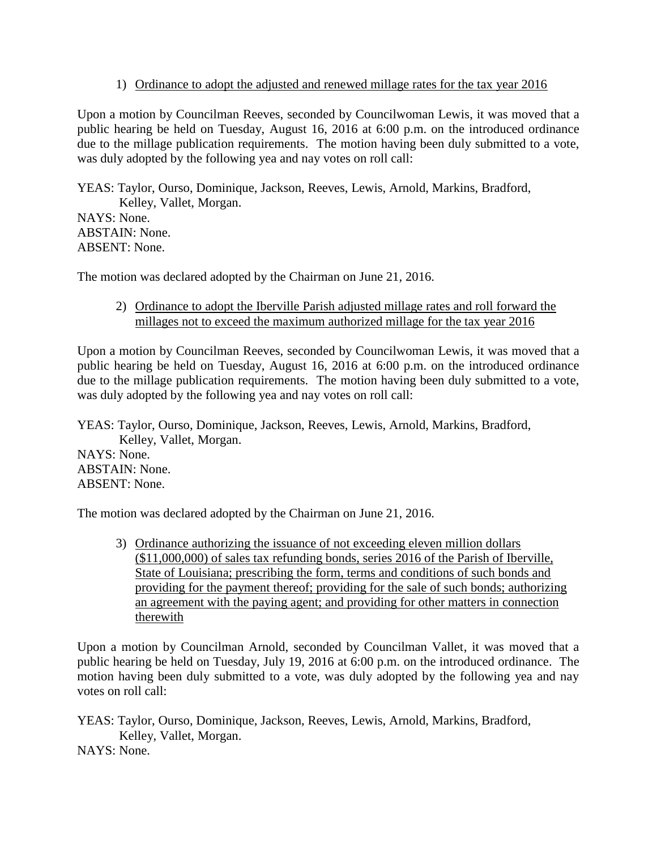# 1) Ordinance to adopt the adjusted and renewed millage rates for the tax year 2016

Upon a motion by Councilman Reeves, seconded by Councilwoman Lewis, it was moved that a public hearing be held on Tuesday, August 16, 2016 at 6:00 p.m. on the introduced ordinance due to the millage publication requirements. The motion having been duly submitted to a vote, was duly adopted by the following yea and nay votes on roll call:

YEAS: Taylor, Ourso, Dominique, Jackson, Reeves, Lewis, Arnold, Markins, Bradford, Kelley, Vallet, Morgan. NAYS: None. ABSTAIN: None. ABSENT: None.

The motion was declared adopted by the Chairman on June 21, 2016.

2) Ordinance to adopt the Iberville Parish adjusted millage rates and roll forward the millages not to exceed the maximum authorized millage for the tax year 2016

Upon a motion by Councilman Reeves, seconded by Councilwoman Lewis, it was moved that a public hearing be held on Tuesday, August 16, 2016 at 6:00 p.m. on the introduced ordinance due to the millage publication requirements. The motion having been duly submitted to a vote, was duly adopted by the following yea and nay votes on roll call:

YEAS: Taylor, Ourso, Dominique, Jackson, Reeves, Lewis, Arnold, Markins, Bradford, Kelley, Vallet, Morgan. NAYS: None. ABSTAIN: None. ABSENT: None.

The motion was declared adopted by the Chairman on June 21, 2016.

3) Ordinance authorizing the issuance of not exceeding eleven million dollars (\$11,000,000) of sales tax refunding bonds, series 2016 of the Parish of Iberville, State of Louisiana; prescribing the form, terms and conditions of such bonds and providing for the payment thereof; providing for the sale of such bonds; authorizing an agreement with the paying agent; and providing for other matters in connection therewith

Upon a motion by Councilman Arnold, seconded by Councilman Vallet, it was moved that a public hearing be held on Tuesday, July 19, 2016 at 6:00 p.m. on the introduced ordinance. The motion having been duly submitted to a vote, was duly adopted by the following yea and nay votes on roll call:

YEAS: Taylor, Ourso, Dominique, Jackson, Reeves, Lewis, Arnold, Markins, Bradford, Kelley, Vallet, Morgan.

NAYS: None.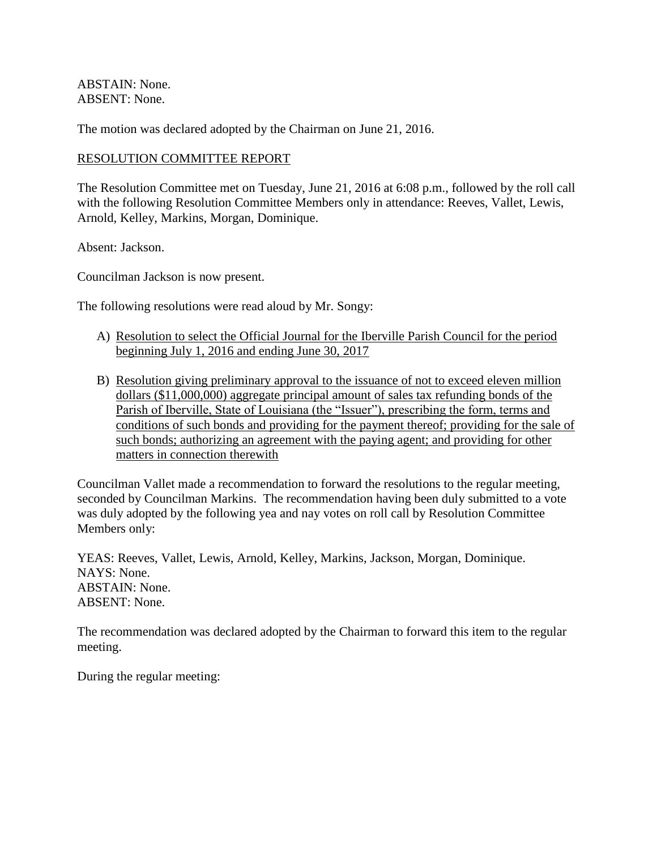ABSTAIN: None. ABSENT: None.

The motion was declared adopted by the Chairman on June 21, 2016.

#### RESOLUTION COMMITTEE REPORT

The Resolution Committee met on Tuesday, June 21, 2016 at 6:08 p.m., followed by the roll call with the following Resolution Committee Members only in attendance: Reeves, Vallet, Lewis, Arnold, Kelley, Markins, Morgan, Dominique.

Absent: Jackson.

Councilman Jackson is now present.

The following resolutions were read aloud by Mr. Songy:

- A) Resolution to select the Official Journal for the Iberville Parish Council for the period beginning July 1, 2016 and ending June 30, 2017
- B) Resolution giving preliminary approval to the issuance of not to exceed eleven million dollars (\$11,000,000) aggregate principal amount of sales tax refunding bonds of the Parish of Iberville, State of Louisiana (the "Issuer"), prescribing the form, terms and conditions of such bonds and providing for the payment thereof; providing for the sale of such bonds; authorizing an agreement with the paying agent; and providing for other matters in connection therewith

Councilman Vallet made a recommendation to forward the resolutions to the regular meeting, seconded by Councilman Markins. The recommendation having been duly submitted to a vote was duly adopted by the following yea and nay votes on roll call by Resolution Committee Members only:

YEAS: Reeves, Vallet, Lewis, Arnold, Kelley, Markins, Jackson, Morgan, Dominique. NAYS: None. ABSTAIN: None. ABSENT: None.

The recommendation was declared adopted by the Chairman to forward this item to the regular meeting.

During the regular meeting: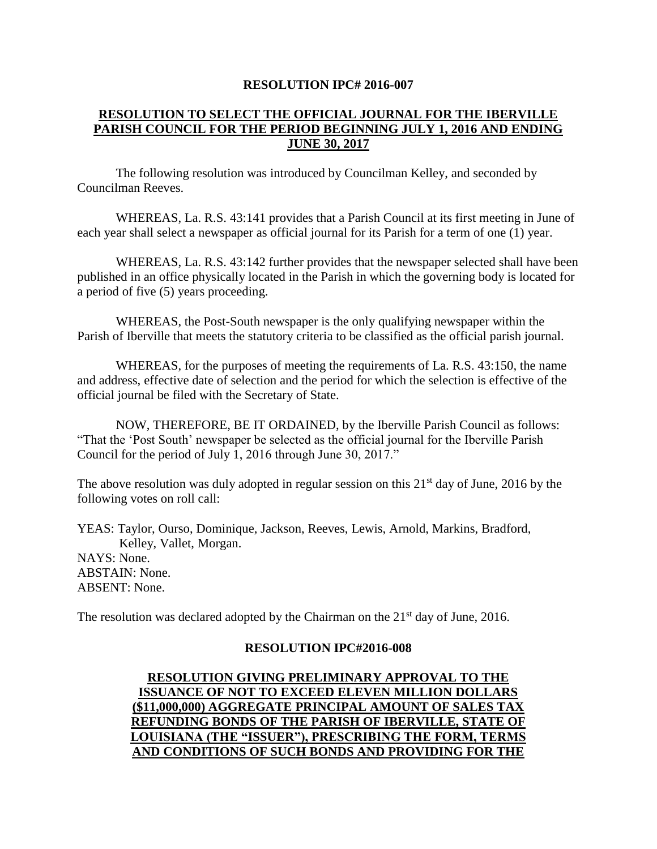#### **RESOLUTION IPC# 2016-007**

# **RESOLUTION TO SELECT THE OFFICIAL JOURNAL FOR THE IBERVILLE PARISH COUNCIL FOR THE PERIOD BEGINNING JULY 1, 2016 AND ENDING JUNE 30, 2017**

The following resolution was introduced by Councilman Kelley, and seconded by Councilman Reeves.

WHEREAS, La. R.S. 43:141 provides that a Parish Council at its first meeting in June of each year shall select a newspaper as official journal for its Parish for a term of one (1) year.

WHEREAS, La. R.S. 43:142 further provides that the newspaper selected shall have been published in an office physically located in the Parish in which the governing body is located for a period of five (5) years proceeding.

WHEREAS, the Post-South newspaper is the only qualifying newspaper within the Parish of Iberville that meets the statutory criteria to be classified as the official parish journal.

WHEREAS, for the purposes of meeting the requirements of La. R.S. 43:150, the name and address, effective date of selection and the period for which the selection is effective of the official journal be filed with the Secretary of State.

NOW, THEREFORE, BE IT ORDAINED, by the Iberville Parish Council as follows: "That the 'Post South' newspaper be selected as the official journal for the Iberville Parish Council for the period of July 1, 2016 through June 30, 2017."

The above resolution was duly adopted in regular session on this  $21<sup>st</sup>$  day of June, 2016 by the following votes on roll call:

YEAS: Taylor, Ourso, Dominique, Jackson, Reeves, Lewis, Arnold, Markins, Bradford, Kelley, Vallet, Morgan. NAYS: None. ABSTAIN: None. ABSENT: None.

The resolution was declared adopted by the Chairman on the  $21<sup>st</sup>$  day of June, 2016.

#### **RESOLUTION IPC#2016-008**

# **RESOLUTION GIVING PRELIMINARY APPROVAL TO THE ISSUANCE OF NOT TO EXCEED ELEVEN MILLION DOLLARS (\$11,000,000) AGGREGATE PRINCIPAL AMOUNT OF SALES TAX REFUNDING BONDS OF THE PARISH OF IBERVILLE, STATE OF LOUISIANA (THE "ISSUER"), PRESCRIBING THE FORM, TERMS AND CONDITIONS OF SUCH BONDS AND PROVIDING FOR THE**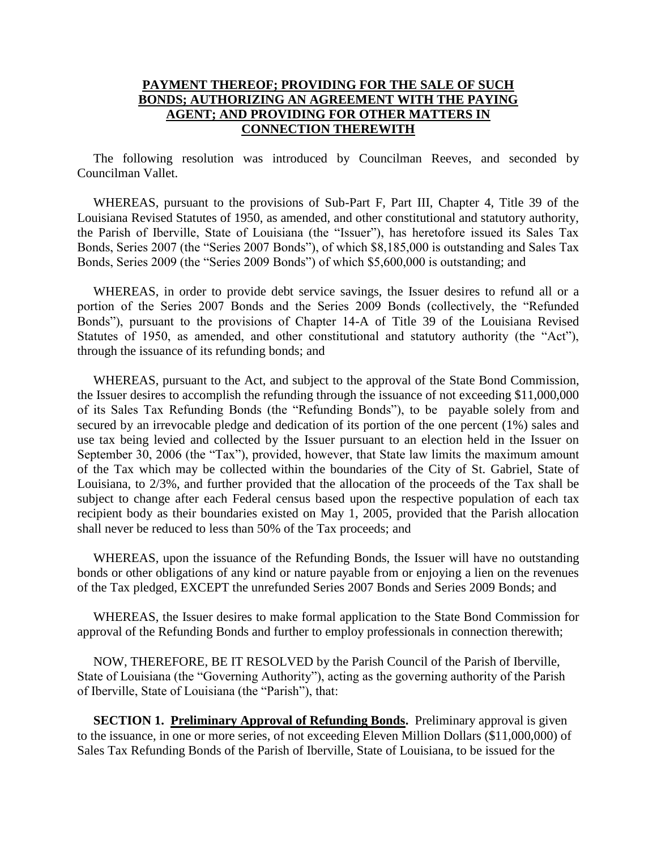# **PAYMENT THEREOF; PROVIDING FOR THE SALE OF SUCH BONDS; AUTHORIZING AN AGREEMENT WITH THE PAYING AGENT; AND PROVIDING FOR OTHER MATTERS IN CONNECTION THEREWITH**

 The following resolution was introduced by Councilman Reeves, and seconded by Councilman Vallet.

 WHEREAS, pursuant to the provisions of Sub-Part F, Part III, Chapter 4, Title 39 of the Louisiana Revised Statutes of 1950, as amended, and other constitutional and statutory authority, the Parish of Iberville, State of Louisiana (the "Issuer"), has heretofore issued its Sales Tax Bonds, Series 2007 (the "Series 2007 Bonds"), of which \$8,185,000 is outstanding and Sales Tax Bonds, Series 2009 (the "Series 2009 Bonds") of which \$5,600,000 is outstanding; and

 WHEREAS, in order to provide debt service savings, the Issuer desires to refund all or a portion of the Series 2007 Bonds and the Series 2009 Bonds (collectively, the "Refunded Bonds"), pursuant to the provisions of Chapter 14-A of Title 39 of the Louisiana Revised Statutes of 1950, as amended, and other constitutional and statutory authority (the "Act"), through the issuance of its refunding bonds; and

 WHEREAS, pursuant to the Act, and subject to the approval of the State Bond Commission, the Issuer desires to accomplish the refunding through the issuance of not exceeding \$11,000,000 of its Sales Tax Refunding Bonds (the "Refunding Bonds"), to be payable solely from and secured by an irrevocable pledge and dedication of its portion of the one percent (1%) sales and use tax being levied and collected by the Issuer pursuant to an election held in the Issuer on September 30, 2006 (the "Tax"), provided, however, that State law limits the maximum amount of the Tax which may be collected within the boundaries of the City of St. Gabriel, State of Louisiana, to 2/3%, and further provided that the allocation of the proceeds of the Tax shall be subject to change after each Federal census based upon the respective population of each tax recipient body as their boundaries existed on May 1, 2005, provided that the Parish allocation shall never be reduced to less than 50% of the Tax proceeds; and

 WHEREAS, upon the issuance of the Refunding Bonds, the Issuer will have no outstanding bonds or other obligations of any kind or nature payable from or enjoying a lien on the revenues of the Tax pledged, EXCEPT the unrefunded Series 2007 Bonds and Series 2009 Bonds; and

 WHEREAS, the Issuer desires to make formal application to the State Bond Commission for approval of the Refunding Bonds and further to employ professionals in connection therewith;

 NOW, THEREFORE, BE IT RESOLVED by the Parish Council of the Parish of Iberville, State of Louisiana (the "Governing Authority"), acting as the governing authority of the Parish of Iberville, State of Louisiana (the "Parish"), that:

**SECTION 1. Preliminary Approval of Refunding Bonds.** Preliminary approval is given to the issuance, in one or more series, of not exceeding Eleven Million Dollars (\$11,000,000) of Sales Tax Refunding Bonds of the Parish of Iberville, State of Louisiana, to be issued for the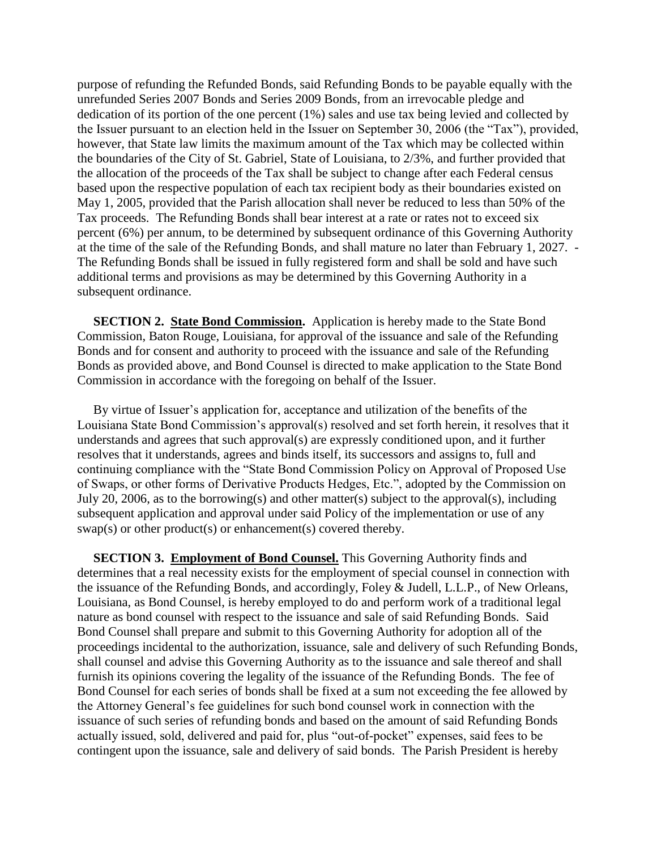purpose of refunding the Refunded Bonds, said Refunding Bonds to be payable equally with the unrefunded Series 2007 Bonds and Series 2009 Bonds, from an irrevocable pledge and dedication of its portion of the one percent (1%) sales and use tax being levied and collected by the Issuer pursuant to an election held in the Issuer on September 30, 2006 (the "Tax"), provided, however, that State law limits the maximum amount of the Tax which may be collected within the boundaries of the City of St. Gabriel, State of Louisiana, to 2/3%, and further provided that the allocation of the proceeds of the Tax shall be subject to change after each Federal census based upon the respective population of each tax recipient body as their boundaries existed on May 1, 2005, provided that the Parish allocation shall never be reduced to less than 50% of the Tax proceeds. The Refunding Bonds shall bear interest at a rate or rates not to exceed six percent (6%) per annum, to be determined by subsequent ordinance of this Governing Authority at the time of the sale of the Refunding Bonds, and shall mature no later than February 1, 2027. - The Refunding Bonds shall be issued in fully registered form and shall be sold and have such additional terms and provisions as may be determined by this Governing Authority in a subsequent ordinance.

**SECTION 2. State Bond Commission.** Application is hereby made to the State Bond Commission, Baton Rouge, Louisiana, for approval of the issuance and sale of the Refunding Bonds and for consent and authority to proceed with the issuance and sale of the Refunding Bonds as provided above, and Bond Counsel is directed to make application to the State Bond Commission in accordance with the foregoing on behalf of the Issuer.

 By virtue of Issuer's application for, acceptance and utilization of the benefits of the Louisiana State Bond Commission's approval(s) resolved and set forth herein, it resolves that it understands and agrees that such approval(s) are expressly conditioned upon, and it further resolves that it understands, agrees and binds itself, its successors and assigns to, full and continuing compliance with the "State Bond Commission Policy on Approval of Proposed Use of Swaps, or other forms of Derivative Products Hedges, Etc.", adopted by the Commission on July 20, 2006, as to the borrowing(s) and other matter(s) subject to the approval(s), including subsequent application and approval under said Policy of the implementation or use of any swap(s) or other product(s) or enhancement(s) covered thereby.

 **SECTION 3. Employment of Bond Counsel.** This Governing Authority finds and determines that a real necessity exists for the employment of special counsel in connection with the issuance of the Refunding Bonds, and accordingly, Foley & Judell, L.L.P., of New Orleans, Louisiana, as Bond Counsel, is hereby employed to do and perform work of a traditional legal nature as bond counsel with respect to the issuance and sale of said Refunding Bonds. Said Bond Counsel shall prepare and submit to this Governing Authority for adoption all of the proceedings incidental to the authorization, issuance, sale and delivery of such Refunding Bonds, shall counsel and advise this Governing Authority as to the issuance and sale thereof and shall furnish its opinions covering the legality of the issuance of the Refunding Bonds. The fee of Bond Counsel for each series of bonds shall be fixed at a sum not exceeding the fee allowed by the Attorney General's fee guidelines for such bond counsel work in connection with the issuance of such series of refunding bonds and based on the amount of said Refunding Bonds actually issued, sold, delivered and paid for, plus "out-of-pocket" expenses, said fees to be contingent upon the issuance, sale and delivery of said bonds. The Parish President is hereby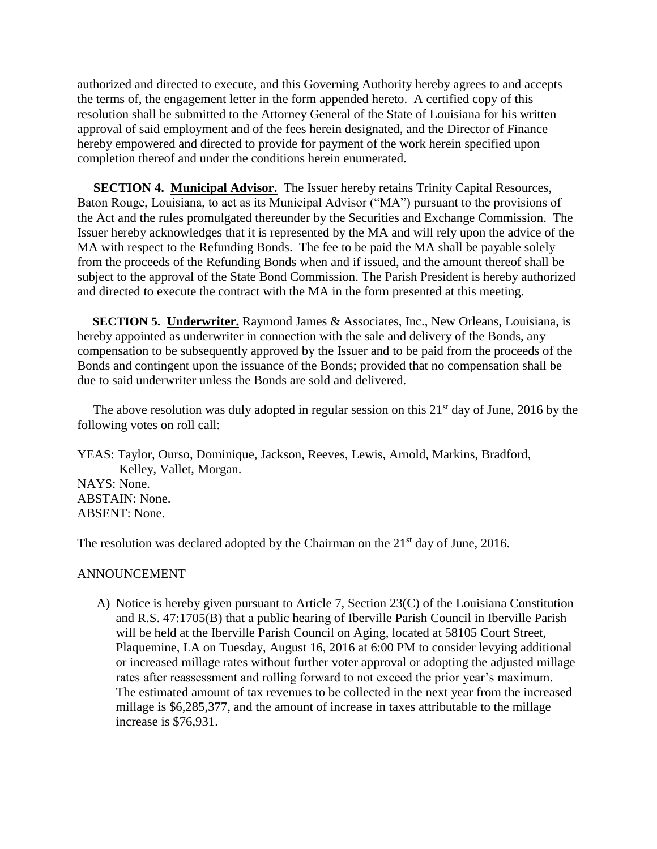authorized and directed to execute, and this Governing Authority hereby agrees to and accepts the terms of, the engagement letter in the form appended hereto. A certified copy of this resolution shall be submitted to the Attorney General of the State of Louisiana for his written approval of said employment and of the fees herein designated, and the Director of Finance hereby empowered and directed to provide for payment of the work herein specified upon completion thereof and under the conditions herein enumerated.

 **SECTION 4. Municipal Advisor.** The Issuer hereby retains Trinity Capital Resources, Baton Rouge, Louisiana, to act as its Municipal Advisor ("MA") pursuant to the provisions of the Act and the rules promulgated thereunder by the Securities and Exchange Commission. The Issuer hereby acknowledges that it is represented by the MA and will rely upon the advice of the MA with respect to the Refunding Bonds. The fee to be paid the MA shall be payable solely from the proceeds of the Refunding Bonds when and if issued, and the amount thereof shall be subject to the approval of the State Bond Commission. The Parish President is hereby authorized and directed to execute the contract with the MA in the form presented at this meeting.

 **SECTION 5. Underwriter.** Raymond James & Associates, Inc., New Orleans, Louisiana, is hereby appointed as underwriter in connection with the sale and delivery of the Bonds, any compensation to be subsequently approved by the Issuer and to be paid from the proceeds of the Bonds and contingent upon the issuance of the Bonds; provided that no compensation shall be due to said underwriter unless the Bonds are sold and delivered.

The above resolution was duly adopted in regular session on this  $21<sup>st</sup>$  day of June, 2016 by the following votes on roll call:

YEAS: Taylor, Ourso, Dominique, Jackson, Reeves, Lewis, Arnold, Markins, Bradford, Kelley, Vallet, Morgan. NAYS: None. ABSTAIN: None. ABSENT: None.

The resolution was declared adopted by the Chairman on the  $21<sup>st</sup>$  day of June, 2016.

#### ANNOUNCEMENT

A) Notice is hereby given pursuant to Article 7, Section 23(C) of the Louisiana Constitution and R.S. 47:1705(B) that a public hearing of Iberville Parish Council in Iberville Parish will be held at the Iberville Parish Council on Aging, located at 58105 Court Street, Plaquemine, LA on Tuesday, August 16, 2016 at 6:00 PM to consider levying additional or increased millage rates without further voter approval or adopting the adjusted millage rates after reassessment and rolling forward to not exceed the prior year's maximum. The estimated amount of tax revenues to be collected in the next year from the increased millage is \$6,285,377, and the amount of increase in taxes attributable to the millage increase is \$76,931.